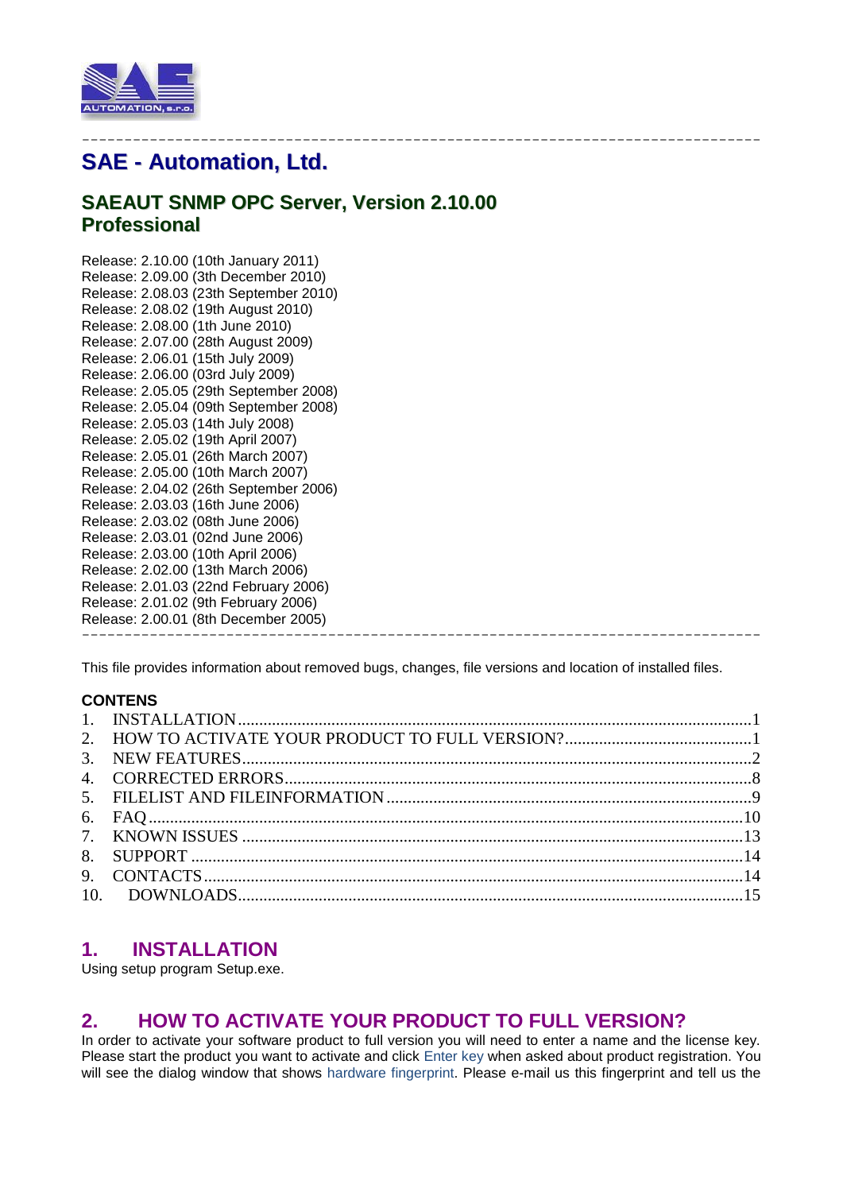

## -------------------------------------------------------------------------------- **SAE - Automation, Ltd.**

# **SAEAUT SNMP OPC Server, Version 2.10.00 Professional**

Release: 2.10.00 (10th January 2011) Release: 2.09.00 (3th December 2010) Release: 2.08.03 (23th September 2010) Release: 2.08.02 (19th August 2010) Release: 2.08.00 (1th June 2010) Release: 2.07.00 (28th August 2009) Release: 2.06.01 (15th July 2009) Release: 2.06.00 (03rd July 2009) Release: 2.05.05 (29th September 2008) Release: 2.05.04 (09th September 2008) Release: 2.05.03 (14th July 2008) Release: 2.05.02 (19th April 2007) Release: 2.05.01 (26th March 2007) Release: 2.05.00 (10th March 2007) Release: 2.04.02 (26th September 2006) Release: 2.03.03 (16th June 2006) Release: 2.03.02 (08th June 2006) Release: 2.03.01 (02nd June 2006) Release: 2.03.00 (10th April 2006) Release: 2.02.00 (13th March 2006) Release: 2.01.03 (22nd February 2006) Release: 2.01.02 (9th February 2006) Release: 2.00.01 (8th December 2005) --------------------------------------------------------------------------------

This file provides information about removed bugs, changes, file versions and location of installed files.

## **CONTENS**

# <span id="page-0-0"></span>**1. INSTALLATION**

Using setup program Setup.exe.

## <span id="page-0-1"></span>**2. HOW TO ACTIVATE YOUR PRODUCT TO FULL VERSION?**

In order to activate your software product to full version you will need to enter a name and the license key. Please start the product you want to activate and click Enter key when asked about product registration. You will see the dialog window that shows hardware fingerprint. Please e-mail us this fingerprint and tell us the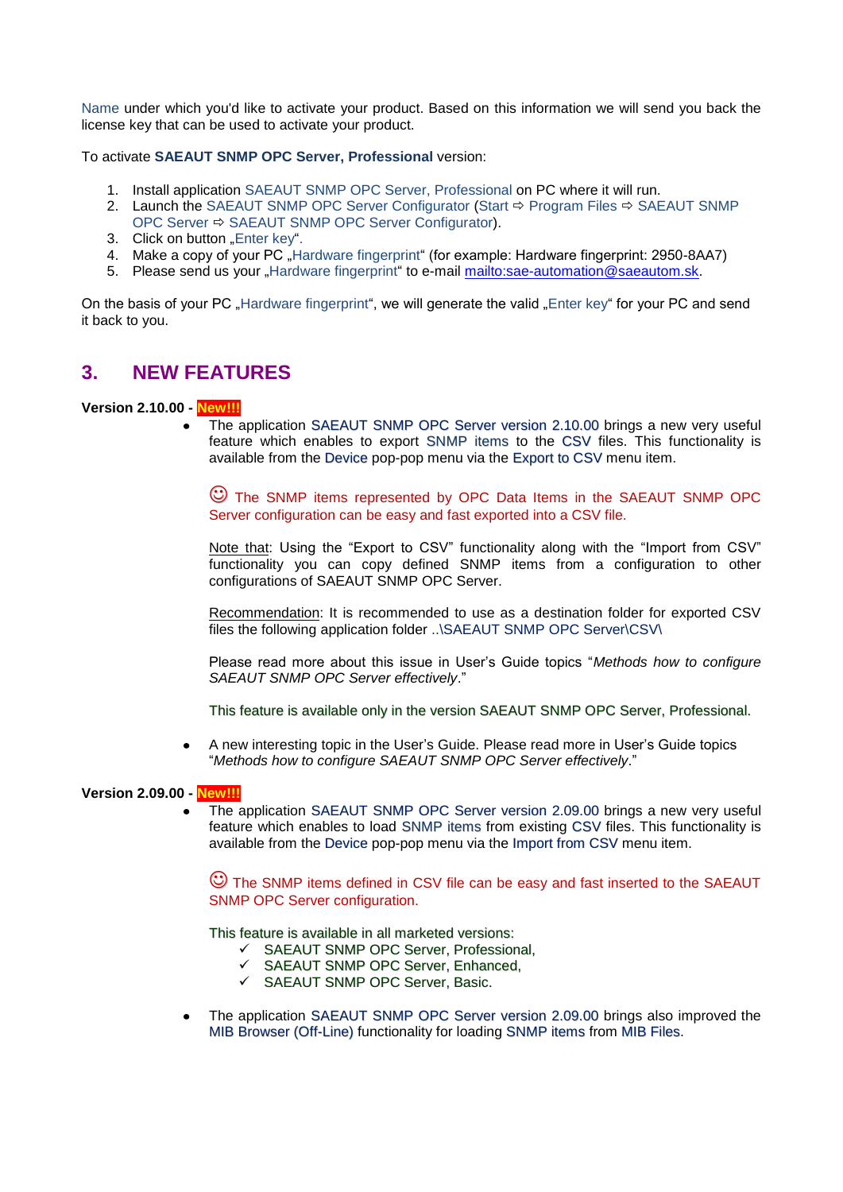Name under which you'd like to activate your product. Based on this information we will send you back the license key that can be used to activate your product.

To activate **SAEAUT SNMP OPC Server, Professional** version:

- 1. Install application SAEAUT SNMP OPC Server, Professional on PC where it will run.
- 2. Launch the SAEAUT SNMP OPC Server Configurator (Start  $\Rightarrow$  Program Files  $\Rightarrow$  SAEAUT SNMP OPC Server SAEAUT SNMP OPC Server Configurator).
- 3. Click on button "Enter key".
- 4. Make a copy of your PC "Hardware fingerprint" (for example: Hardware fingerprint: 2950-8AA7)
- 5. Please send us your "Hardware fingerprint" to e-mail mailto: sae-automation@saeautom.sk.

On the basis of your PC ..Hardware fingerprint", we will generate the valid ..Enter key" for your PC and send it back to you.

## <span id="page-1-0"></span>**3. NEW FEATURES**

#### **Version 2.10.00 - New!!!**

The application SAEAUT SNMP OPC Server version 2.10.00 brings a new very useful feature which enables to export SNMP items to the CSV files. This functionality is available from the Device pop-pop menu via the Export to CSV menu item.

 The SNMP items represented by OPC Data Items in the SAEAUT SNMP OPC Server configuration can be easy and fast exported into a CSV file.

Note that: Using the "Export to CSV" functionality along with the "Import from CSV" functionality you can copy defined SNMP items from a configuration to other configurations of SAEAUT SNMP OPC Server.

Recommendation: It is recommended to use as a destination folder for exported CSV files the following application folder ..\SAEAUT SNMP OPC Server\CSV\

Please read more about this issue in User's Guide topics "*Methods how to configure SAEAUT SNMP OPC Server effectively*."

This feature is available only in the version SAEAUT SNMP OPC Server, Professional.

A new interesting topic in the User's Guide. Please read more in User's Guide topics  $\bullet$ "*Methods how to configure SAEAUT SNMP OPC Server effectively*."

#### **Version 2.09.00 - New!!!**

The application SAEAUT SNMP OPC Server version 2.09.00 brings a new very useful feature which enables to load SNMP items from existing CSV files. This functionality is available from the Device pop-pop menu via the Import from CSV menu item.

 The SNMP items defined in CSV file can be easy and fast inserted to the SAEAUT SNMP OPC Server configuration.

This feature is available in all marketed versions:

- $\checkmark$  SAEAUT SNMP OPC Server, Professional,
- SAEAUT SNMP OPC Server, Enhanced,
- SAEAUT SNMP OPC Server, Basic.
- The application SAEAUT SNMP OPC Server version 2.09.00 brings also improved the MIB Browser (Off-Line) functionality for loading SNMP items from MIB Files.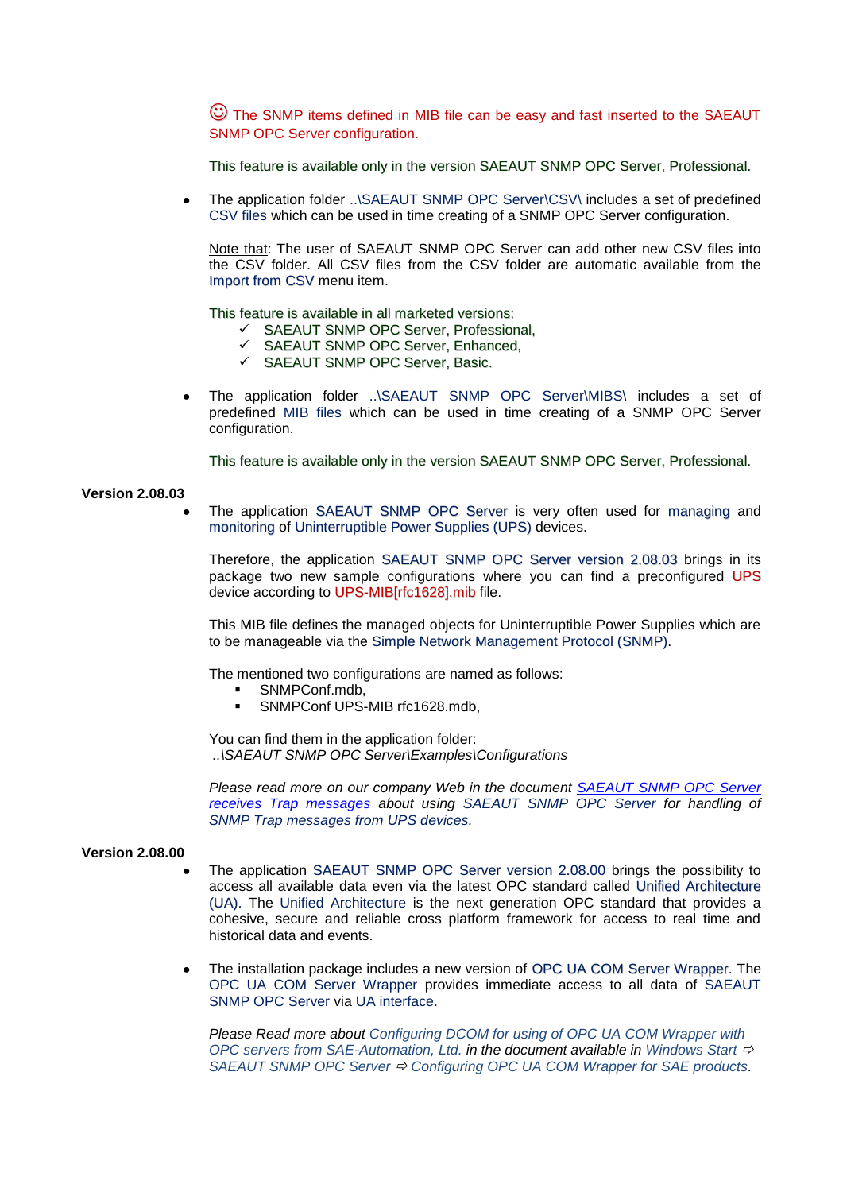The SNMP items defined in MIB file can be easy and fast inserted to the SAEAUT SNMP OPC Server configuration.

This feature is available only in the version SAEAUT SNMP OPC Server, Professional.

The application folder ..\SAEAUT SNMP OPC Server\CSV\ includes a set of predefined  $\blacksquare$ CSV files which can be used in time creating of a SNMP OPC Server configuration.

Note that: The user of SAEAUT SNMP OPC Server can add other new CSV files into the CSV folder. All CSV files from the CSV folder are automatic available from the Import from CSV menu item.

This feature is available in all marketed versions:

- $\checkmark$  SAEAUT SNMP OPC Server, Professional,
- SAEAUT SNMP OPC Server, Enhanced,
- SAEAUT SNMP OPC Server, Basic.
- The application folder ..\SAEAUT SNMP OPC Server\MIBS\ includes a set of predefined MIB files which can be used in time creating of a SNMP OPC Server configuration.

This feature is available only in the version SAEAUT SNMP OPC Server, Professional.

#### **Version 2.08.03**

The application SAEAUT SNMP OPC Server is very often used for managing and monitoring of Uninterruptible Power Supplies (UPS) devices.

Therefore, the application SAEAUT SNMP OPC Server version 2.08.03 brings in its package two new sample configurations where you can find a preconfigured UPS device according to UPS-MIB[rfc1628].mib file.

This MIB file defines the managed objects for Uninterruptible Power Supplies which are to be manageable via the Simple Network Management Protocol (SNMP).

The mentioned two configurations are named as follows:

- SNMPConf.mdb,
- SNMPConf UPS-MIB rfc1628.mdb,

You can find them in the application folder: *..\SAEAUT SNMP OPC Server\Examples\Configurations*

*Please read more on our company Web in the document [SAEAUT SNMP OPC Server](http://www.saeautom.eu/download/SAEAUT%20SNMP%20OPC%20Server%20receives%20TRAP%20messages_eng.pdf)  [receives Trap messages](http://www.saeautom.eu/download/SAEAUT%20SNMP%20OPC%20Server%20receives%20TRAP%20messages_eng.pdf) about using SAEAUT SNMP OPC Server for handling of SNMP Trap messages from UPS devices.*

#### **Version 2.08.00**

- The application SAEAUT SNMP OPC Server version 2.08.00 brings the possibility to access all available data even via the latest OPC standard called Unified Architecture (UA). The Unified Architecture is the next generation OPC standard that provides a cohesive, secure and reliable cross platform framework for access to real time and historical data and events.
- The installation package includes a new version of OPC UA COM Server Wrapper. The OPC UA COM Server Wrapper provides immediate access to all data of SAEAUT SNMP OPC Server via UA interface.

*Please Read more about Configuring DCOM for using of OPC UA COM Wrapper with OPC servers from SAE-Automation, Ltd. in the document available in Windows Start* SAEAUT SNMP OPC Server  $\div$  Configuring OPC UA COM Wrapper for SAE products.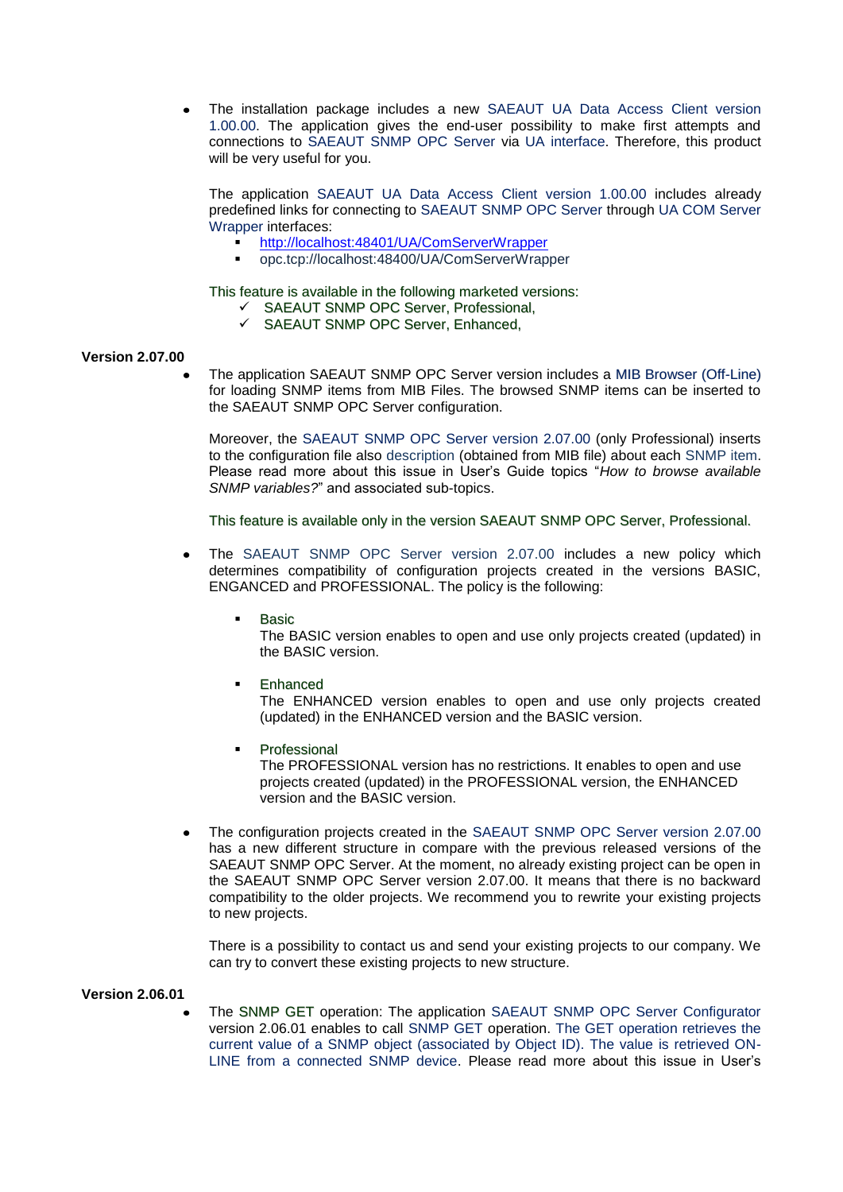The installation package includes a new SAEAUT UA Data Access Client version 1.00.00. The application gives the end-user possibility to make first attempts and connections to SAEAUT SNMP OPC Server via UA interface. Therefore, this product will be very useful for you.

The application SAEAUT UA Data Access Client version 1.00.00 includes already predefined links for connecting to SAEAUT SNMP OPC Server through UA COM Server Wrapper interfaces:

- <http://localhost:48401/UA/ComServerWrapper>
- opc.tcp://localhost:48400/UA/ComServerWrapper

This feature is available in the following marketed versions:

- $\checkmark$  SAEAUT SNMP OPC Server, Professional,
- SAEAUT SNMP OPC Server, Enhanced,

#### **Version 2.07.00**

The application SAEAUT SNMP OPC Server version includes a MIB Browser (Off-Line) for loading SNMP items from MIB Files. The browsed SNMP items can be inserted to the SAEAUT SNMP OPC Server configuration.

Moreover, the SAEAUT SNMP OPC Server version 2.07.00 (only Professional) inserts to the configuration file also description (obtained from MIB file) about each SNMP item. Please read more about this issue in User's Guide topics "*How to browse available SNMP variables?*" and associated sub-topics.

This feature is available only in the version SAEAUT SNMP OPC Server, Professional.

- The SAEAUT SNMP OPC Server version 2.07.00 includes a new policy which determines compatibility of configuration projects created in the versions BASIC, ENGANCED and PROFESSIONAL. The policy is the following:
	- Basic

The BASIC version enables to open and use only projects created (updated) in the BASIC version.

Enhanced

The ENHANCED version enables to open and use only projects created (updated) in the ENHANCED version and the BASIC version.

- Professional The PROFESSIONAL version has no restrictions. It enables to open and use projects created (updated) in the PROFESSIONAL version, the ENHANCED version and the BASIC version.
- The configuration projects created in the SAEAUT SNMP OPC Server version 2.07.00 has a new different structure in compare with the previous released versions of the SAEAUT SNMP OPC Server. At the moment, no already existing project can be open in the SAEAUT SNMP OPC Server version 2.07.00. It means that there is no backward compatibility to the older projects. We recommend you to rewrite your existing projects to new projects.

There is a possibility to contact us and send your existing projects to our company. We can try to convert these existing projects to new structure.

#### **Version 2.06.01**

The SNMP GET operation: The application SAEAUT SNMP OPC Server Configurator version 2.06.01 enables to call SNMP GET operation. The GET operation retrieves the current value of a SNMP object (associated by Object ID). The value is retrieved ON-LINE from a connected SNMP device. Please read more about this issue in User's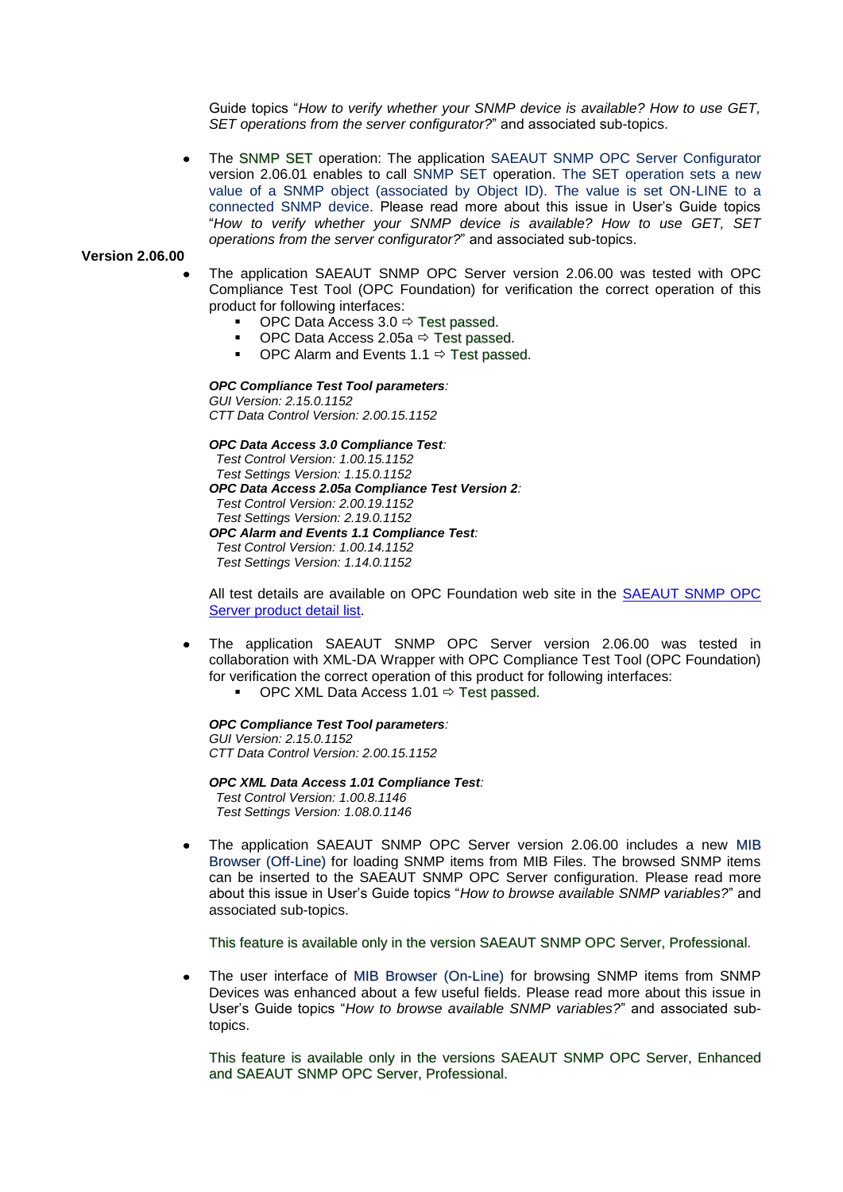Guide topics "*How to verify whether your SNMP device is available? How to use GET, SET operations from the server configurator?*" and associated sub-topics.

The SNMP SET operation: The application SAEAUT SNMP OPC Server Configurator version 2.06.01 enables to call SNMP SET operation. The SET operation sets a new value of a SNMP object (associated by Object ID). The value is set ON-LINE to a connected SNMP device. Please read more about this issue in User's Guide topics "*How to verify whether your SNMP device is available? How to use GET, SET operations from the server configurator?*" and associated sub-topics.

#### **Version 2.06.00**

- The application SAEAUT SNMP OPC Server version 2.06.00 was tested with OPC Compliance Test Tool (OPC Foundation) for verification the correct operation of this product for following interfaces:
	- OPC Data Access  $3.0 \Leftrightarrow$  Test passed.
		- OPC Data Access 2.05a  $\Rightarrow$  Test passed.
	- OPC Alarm and Events 1.1  $\Rightarrow$  Test passed.

#### *OPC Compliance Test Tool parameters:*

*GUI Version: 2.15.0.1152 CTT Data Control Version: 2.00.15.1152*

*OPC Data Access 3.0 Compliance Test:*

 *Test Control Version: 1.00.15.1152 Test Settings Version: 1.15.0.1152 OPC Data Access 2.05a Compliance Test Version 2: Test Control Version: 2.00.19.1152 Test Settings Version: 2.19.0.1152 OPC Alarm and Events 1.1 Compliance Test:*

 *Test Control Version: 1.00.14.1152 Test Settings Version: 1.14.0.1152*

All test details are available on OPC Foundation web site in the [SAEAUT SNMP OPC](http://www.opcfoundation.org/Products/ProductDetails.aspx?CM=1&RI=8857&CU=16#Certification%20Testing)  [Server product detail list.](http://www.opcfoundation.org/Products/ProductDetails.aspx?CM=1&RI=8857&CU=16#Certification%20Testing)

- The application SAEAUT SNMP OPC Server version 2.06.00 was tested in  $\bullet$ collaboration with XML-DA Wrapper with OPC Compliance Test Tool (OPC Foundation) for verification the correct operation of this product for following interfaces:
	- OPC XML Data Access 1.01  $\Rightarrow$  Test passed.

## *OPC Compliance Test Tool parameters:*

*GUI Version: 2.15.0.1152 CTT Data Control Version: 2.00.15.1152*

*OPC XML Data Access 1.01 Compliance Test: Test Control Version: 1.00.8.1146 Test Settings Version: 1.08.0.1146*

The application SAEAUT SNMP OPC Server version 2.06.00 includes a new MIB Browser (Off-Line) for loading SNMP items from MIB Files. The browsed SNMP items can be inserted to the SAEAUT SNMP OPC Server configuration. Please read more about this issue in User's Guide topics "*How to browse available SNMP variables?*" and associated sub-topics.

This feature is available only in the version SAEAUT SNMP OPC Server, Professional.

The user interface of MIB Browser (On-Line) for browsing SNMP items from SNMP Devices was enhanced about a few useful fields. Please read more about this issue in User's Guide topics "*How to browse available SNMP variables?*" and associated subtopics.

This feature is available only in the versions SAEAUT SNMP OPC Server, Enhanced and SAEAUT SNMP OPC Server, Professional.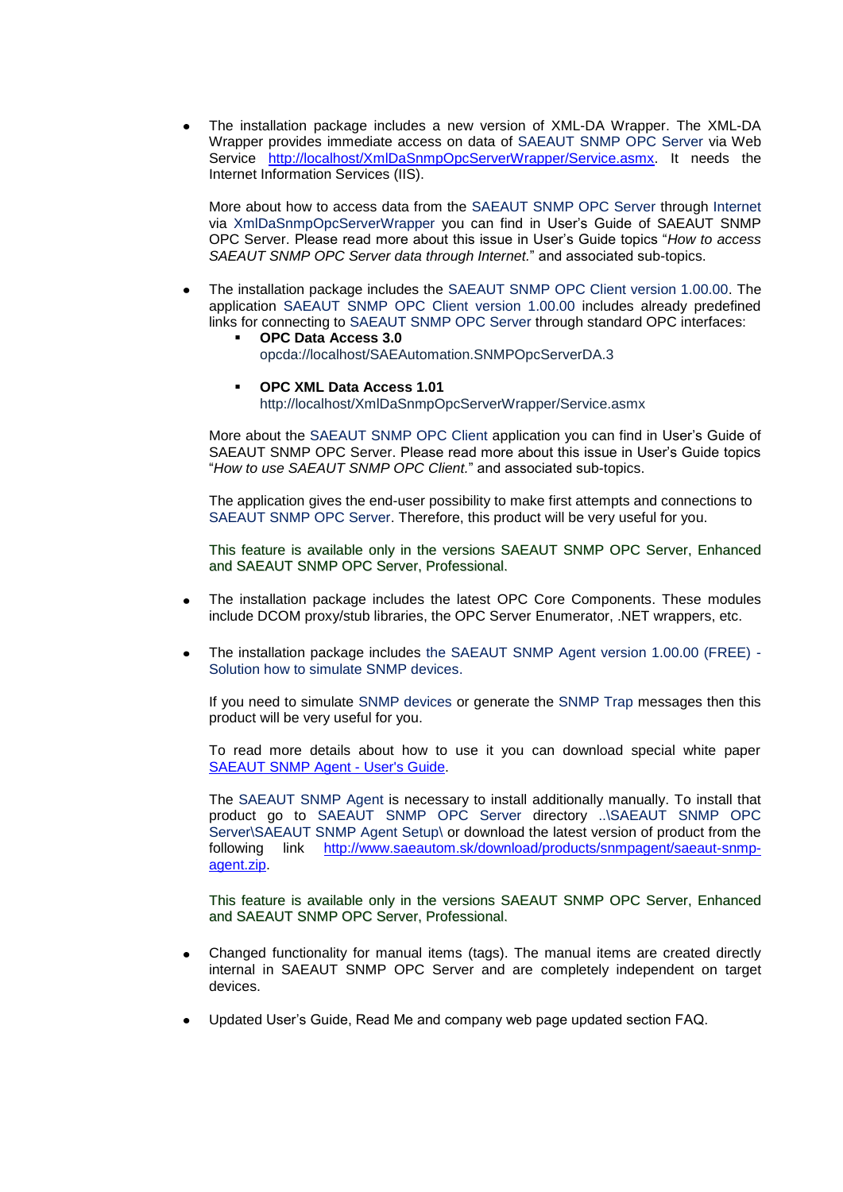The installation package includes a new version of XML-DA Wrapper. The XML-DA Wrapper provides immediate access on data of SAEAUT SNMP OPC Server via Web Service [http://localhost/XmlDaSnmpOpcServerWrapper/Service.asmx.](http://localhost/XmlDaSnmpOpcServerWrapper/Service.asmx) It needs the Internet Information Services (IIS).

More about how to access data from the SAEAUT SNMP OPC Server through Internet via XmlDaSnmpOpcServerWrapper you can find in User's Guide of SAEAUT SNMP OPC Server. Please read more about this issue in User's Guide topics "*How to access SAEAUT SNMP OPC Server data through Internet.*" and associated sub-topics.

- The installation package includes the SAEAUT SNMP OPC Client version 1.00.00. The application SAEAUT SNMP OPC Client version 1.00.00 includes already predefined links for connecting to SAEAUT SNMP OPC Server through standard OPC interfaces:
	- **OPC Data Access 3.0**  opcda://localhost/SAEAutomation.SNMPOpcServerDA.3
	- **OPC XML Data Access 1.01** http://localhost/XmlDaSnmpOpcServerWrapper/Service.asmx

More about the SAEAUT SNMP OPC Client application you can find in User's Guide of SAEAUT SNMP OPC Server. Please read more about this issue in User's Guide topics "*How to use SAEAUT SNMP OPC Client.*" and associated sub-topics.

The application gives the end-user possibility to make first attempts and connections to SAEAUT SNMP OPC Server. Therefore, this product will be very useful for you.

This feature is available only in the versions SAEAUT SNMP OPC Server, Enhanced and SAEAUT SNMP OPC Server, Professional.

- The installation package includes the latest OPC Core Components. These modules include DCOM proxy/stub libraries, the OPC Server Enumerator, .NET wrappers, etc.
- The installation package includes the SAEAUT SNMP Agent version 1.00.00 (FREE) Solution how to simulate SNMP devices.

If you need to simulate SNMP devices or generate the SNMP Trap messages then this product will be very useful for you.

To read more details about how to use it you can download special white paper [SAEAUT SNMP Agent -](http://www.saeautom.sk/download/help/saeaut_snmp_agent_en.pdf) User's Guide.

The SAEAUT SNMP Agent is necessary to install additionally manually. To install that product go to SAEAUT SNMP OPC Server directory ..\SAEAUT SNMP OPC Server\SAEAUT SNMP Agent Setup\ or download the latest version of product from the following link [http://www.saeautom.sk/download/products/snmpagent/saeaut-snmp](http://www.saeautom.sk/download/products/snmpagent/saeaut-snmp-agent.zip)[agent.zip.](http://www.saeautom.sk/download/products/snmpagent/saeaut-snmp-agent.zip)

This feature is available only in the versions SAEAUT SNMP OPC Server, Enhanced and SAEAUT SNMP OPC Server, Professional.

- Changed functionality for manual items (tags). The manual items are created directly internal in SAEAUT SNMP OPC Server and are completely independent on target devices.
- Updated User's Guide, Read Me and company web page updated section FAQ.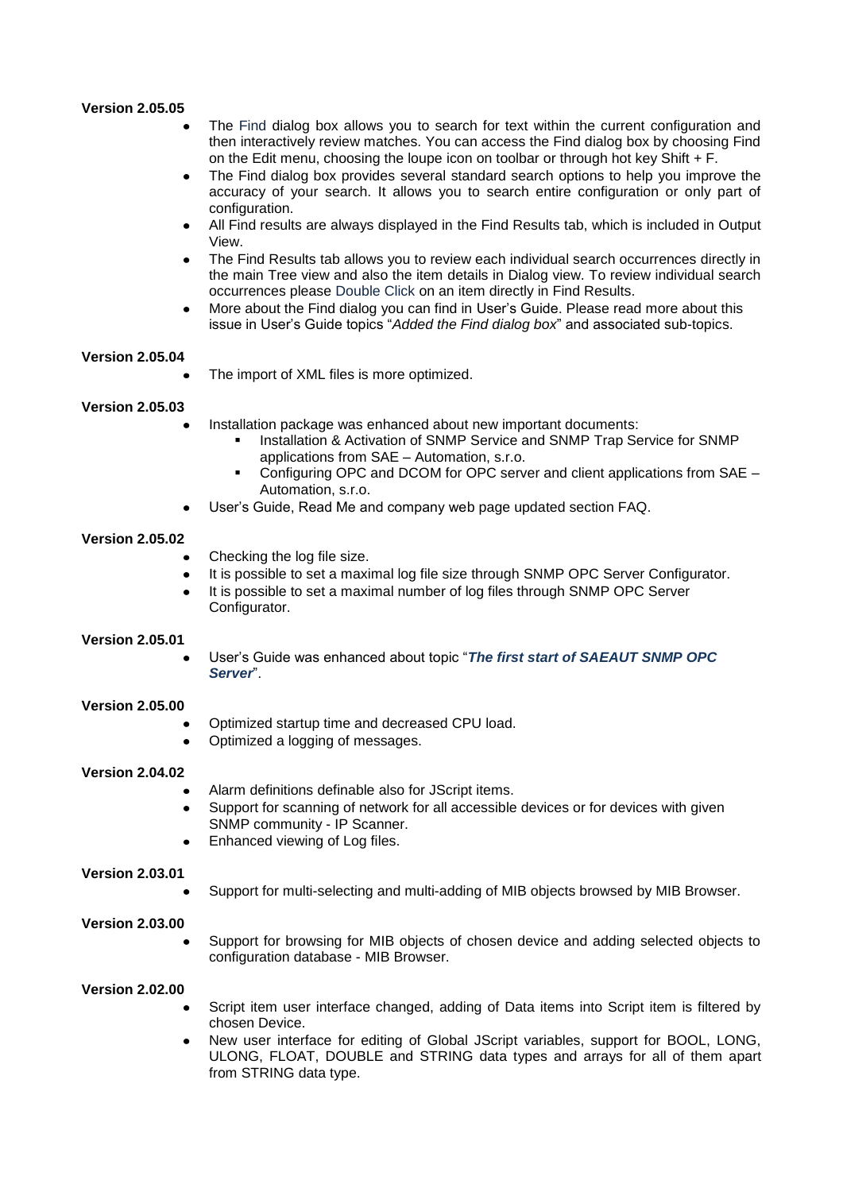#### **Version 2.05.05**

- The Find dialog box allows you to search for text within the current configuration and then interactively review matches. You can access the Find dialog box by choosing Find on the Edit menu, choosing the loupe icon on toolbar or through hot key Shift  $+ F$ .
- The Find dialog box provides several standard search options to help you improve the accuracy of your search. It allows you to search entire configuration or only part of configuration.
- All Find results are always displayed in the Find Results tab, which is included in Output View.
- The Find Results tab allows you to review each individual search occurrences directly in the main Tree view and also the item details in Dialog view. To review individual search occurrences please Double Click on an item directly in Find Results.
- More about the Find dialog you can find in User's Guide. Please read more about this issue in User's Guide topics "*Added the Find dialog box*" and associated sub-topics.

#### **Version 2.05.04**

The import of XML files is more optimized.

#### **Version 2.05.03**

- Installation package was enhanced about new important documents:
	- Installation & Activation of SNMP Service and SNMP Trap Service for SNMP applications from SAE – Automation, s.r.o.
	- Configuring OPC and DCOM for OPC server and client applications from SAE Automation, s.r.o.
- User's Guide, Read Me and company web page updated section FAQ.

#### **Version 2.05.02**

- Checking the log file size.
- It is possible to set a maximal log file size through SNMP OPC Server Configurator.  $\bullet$
- It is possible to set a maximal number of log files through SNMP OPC Server Configurator.

#### **Version 2.05.01**

User's Guide was enhanced about topic "*The first start of SAEAUT SNMP OPC Server*".

#### **Version 2.05.00**

- Optimized startup time and decreased CPU load.
- $\bullet$ Optimized a logging of messages.

#### **Version 2.04.02**

- Alarm definitions definable also for JScript items.
- Support for scanning of network for all accessible devices or for devices with given SNMP community - IP Scanner.
- Enhanced viewing of Log files.

#### **Version 2.03.01**

Support for multi-selecting and multi-adding of MIB objects browsed by MIB Browser.

#### **Version 2.03.00**

Support for browsing for MIB objects of chosen device and adding selected objects to configuration database - MIB Browser.

#### **Version 2.02.00**

- Script item user interface changed, adding of Data items into Script item is filtered by chosen Device.
- New user interface for editing of Global JScript variables, support for BOOL, LONG, ULONG, FLOAT, DOUBLE and STRING data types and arrays for all of them apart from STRING data type.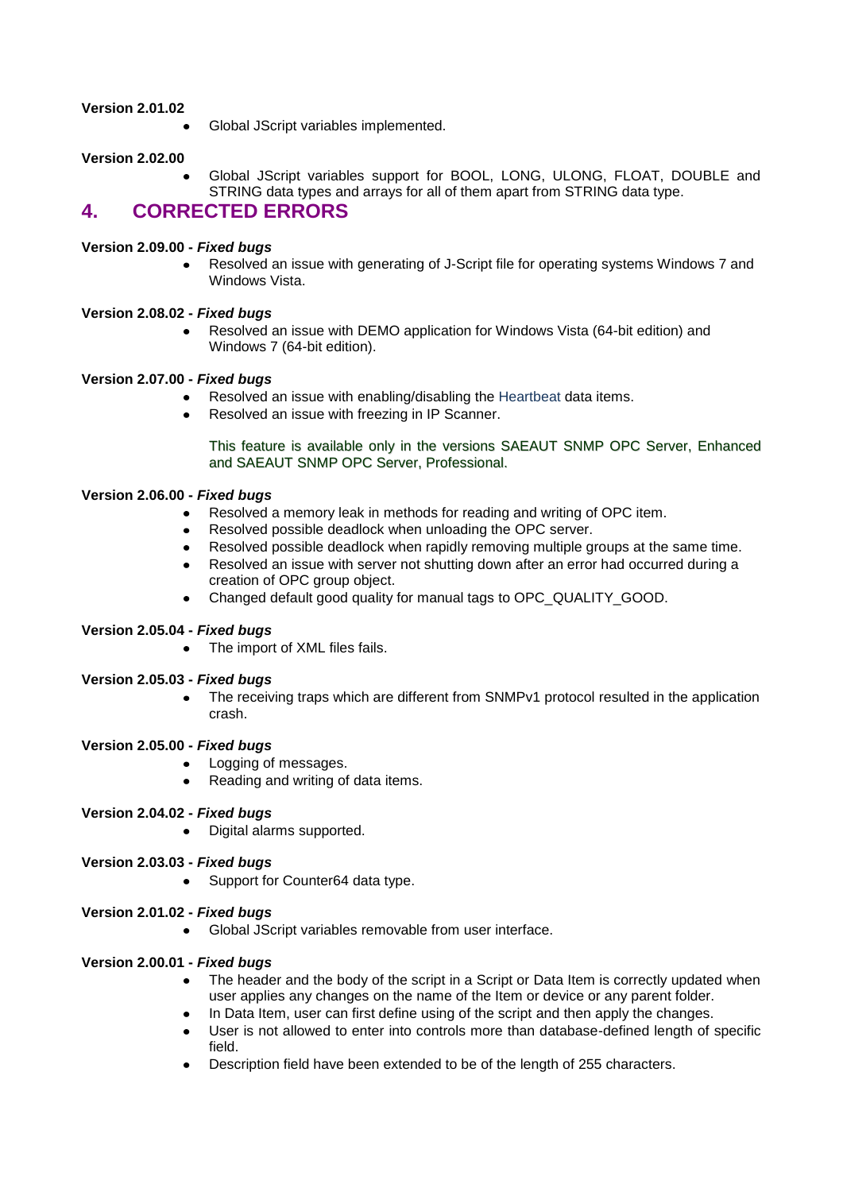### **Version 2.01.02**

Global JScript variables implemented.

## **Version 2.02.00**

Global JScript variables support for BOOL, LONG, ULONG, FLOAT, DOUBLE and STRING data types and arrays for all of them apart from STRING data type.

## <span id="page-7-0"></span>**4. CORRECTED ERRORS**

## **Version 2.09.00 -** *Fixed bugs*

Resolved an issue with generating of J-Script file for operating systems Windows 7 and  $\bullet$ Windows Vista.

### **Version 2.08.02 -** *Fixed bugs*

Resolved an issue with DEMO application for Windows Vista (64-bit edition) and Windows 7 (64-bit edition).

### **Version 2.07.00 -** *Fixed bugs*

- $\bullet$ Resolved an issue with enabling/disabling the Heartbeat data items.
- Resolved an issue with freezing in IP Scanner.

This feature is available only in the versions SAEAUT SNMP OPC Server, Enhanced and SAEAUT SNMP OPC Server, Professional.

## **Version 2.06.00 -** *Fixed bugs*

- Resolved a memory leak in methods for reading and writing of OPC item.
- Resolved possible deadlock when unloading the OPC server.
- $\bullet$ Resolved possible deadlock when rapidly removing multiple groups at the same time.
- Resolved an issue with server not shutting down after an error had occurred during a creation of OPC group object.
- Changed default good quality for manual tags to OPC QUALITY GOOD.

#### **Version 2.05.04 -** *Fixed bugs*

• The import of XML files fails.

#### **Version 2.05.03 -** *Fixed bugs*

The receiving traps which are different from SNMPv1 protocol resulted in the application crash.

#### **Version 2.05.00 -** *Fixed bugs*

- Logging of messages.
- $\bullet$ Reading and writing of data items.

## **Version 2.04.02 -** *Fixed bugs*

• Digital alarms supported.

## **Version 2.03.03 -** *Fixed bugs*

• Support for Counter64 data type.

## **Version 2.01.02 -** *Fixed bugs*

Global JScript variables removable from user interface.

## **Version 2.00.01 -** *Fixed bugs*

- The header and the body of the script in a Script or Data Item is correctly updated when user applies any changes on the name of the Item or device or any parent folder.
- In Data Item, user can first define using of the script and then apply the changes.
- User is not allowed to enter into controls more than database-defined length of specific field.
- Description field have been extended to be of the length of 255 characters.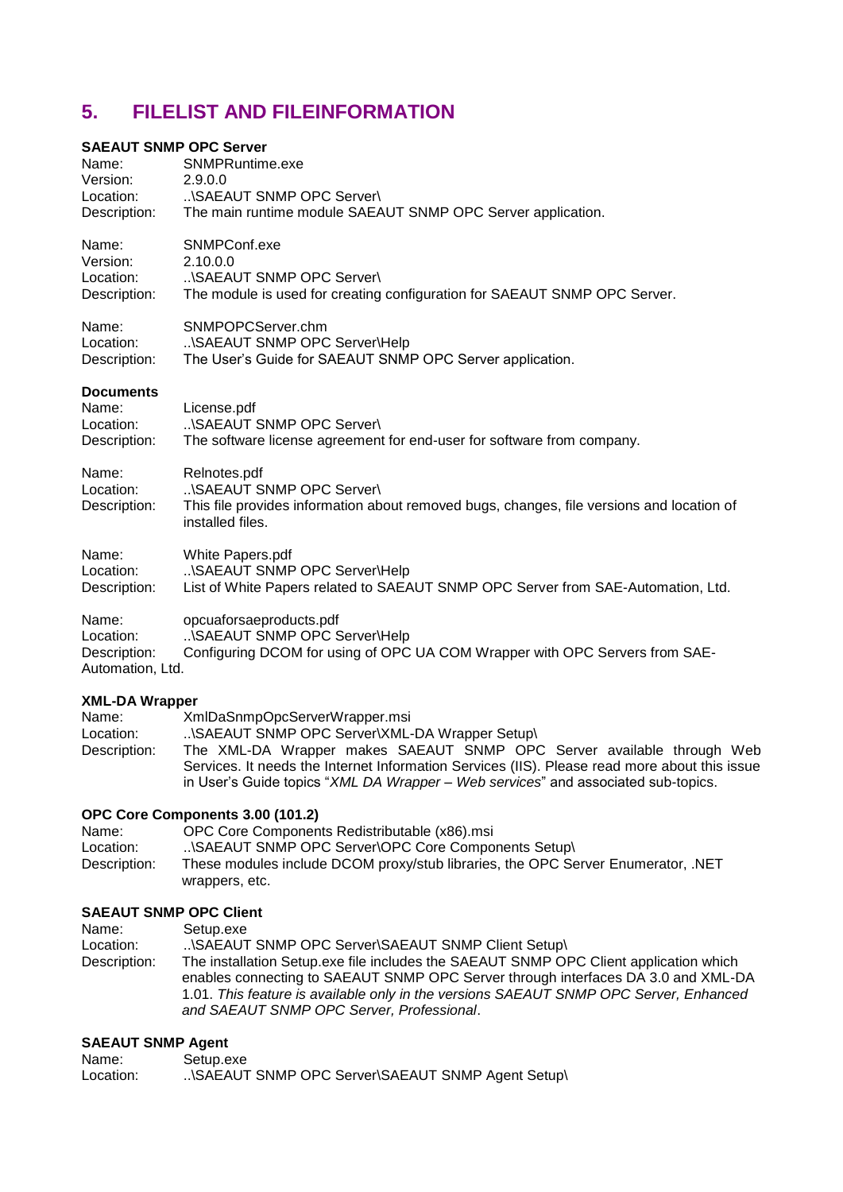# <span id="page-8-0"></span>**5. FILELIST AND FILEINFORMATION**

## **SAEAUT SNMP OPC Server**

| Name:<br>Version:<br>Location:<br>Description:         | SNMPRuntime.exe<br>2.9.0.0<br>\SAEAUT SNMP OPC Server\<br>The main runtime module SAEAUT SNMP OPC Server application.                                     |
|--------------------------------------------------------|-----------------------------------------------------------------------------------------------------------------------------------------------------------|
| Name:<br>Version:<br>Location:<br>Description:         | SNMPConf.exe<br>2.10.0.0<br>\SAEAUT SNMP OPC Server\<br>The module is used for creating configuration for SAEAUT SNMP OPC Server.                         |
| Name:<br>Location:<br>Description:                     | SNMPOPCServer.chm<br>\SAEAUT SNMP OPC Server\Help<br>The User's Guide for SAEAUT SNMP OPC Server application.                                             |
| <b>Documents</b><br>Name:<br>Location:<br>Description: | License.pdf<br>\SAEAUT SNMP OPC Server\<br>The software license agreement for end-user for software from company.                                         |
| Name:<br>Location:<br>Description:                     | Relnotes.pdf<br>\SAEAUT SNMP OPC Server\<br>This file provides information about removed bugs, changes, file versions and location of<br>installed files. |
| Name:<br>Location:<br>Description:                     | White Papers.pdf<br>\SAEAUT SNMP OPC Server\Help<br>List of White Papers related to SAEAUT SNMP OPC Server from SAE-Automation, Ltd.                      |
| Name:<br>Location:<br>Description:<br>Automation, Ltd. | opcuaforsaeproducts.pdf<br>\SAEAUT SNMP OPC Server\Help<br>Configuring DCOM for using of OPC UA COM Wrapper with OPC Servers from SAE-                    |
| <b>XML-DA Wrapper</b>                                  |                                                                                                                                                           |
| Name:                                                  | XmlDaSnmpOpcServerWrapper.msi                                                                                                                             |

| .            |                                                                                               |
|--------------|-----------------------------------------------------------------------------------------------|
| Location:    | \SAEAUT SNMP OPC Server\XML-DA Wrapper Setup\                                                 |
| Description: | The XML-DA Wrapper makes SAEAUT SNMP OPC Server available through Web                         |
|              | Services. It needs the Internet Information Services (IIS). Please read more about this issue |
|              | in User's Guide topics "XML DA Wrapper – Web services" and associated sub-topics.             |
|              |                                                                                               |

## **OPC Core Components 3.00 (101.2)**

| Name:        | OPC Core Components Redistributable (x86).msi                                    |
|--------------|----------------------------------------------------------------------------------|
| Location:    | \SAEAUT SNMP OPC Server\OPC Core Components Setup\                               |
| Description: | These modules include DCOM proxy/stub libraries, the OPC Server Enumerator, .NET |
|              | wrappers, etc.                                                                   |

## **SAEAUT SNMP OPC Client**

| Name:        | Setup.exe                                                                             |
|--------------|---------------------------------------------------------------------------------------|
| Location:    | \SAEAUT SNMP OPC Server\SAEAUT SNMP Client Setup\                                     |
| Description: | The installation Setup.exe file includes the SAEAUT SNMP OPC Client application which |
|              | enables connecting to SAEAUT SNMP OPC Server through interfaces DA 3.0 and XML-DA     |
|              | 1.01. This feature is available only in the versions SAEAUT SNMP OPC Server, Enhanced |
|              | and SAEAUT SNMP OPC Server, Professional.                                             |

## **SAEAUT SNMP Agent**

| Name:     | Setup.exe                                        |
|-----------|--------------------------------------------------|
| Location: | \SAEAUT SNMP OPC Server\SAEAUT SNMP Agent Setup\ |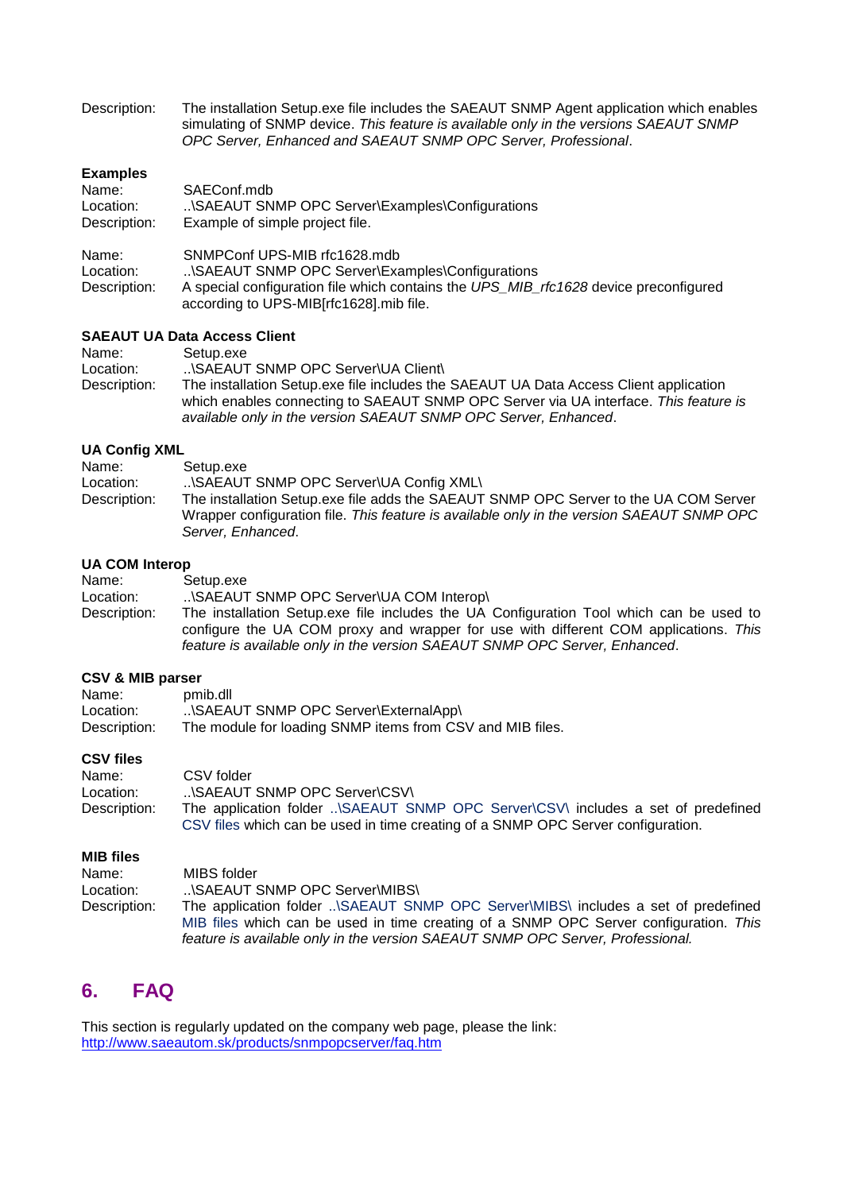Description: The installation Setup.exe file includes the SAEAUT SNMP Agent application which enables simulating of SNMP device. *This feature is available only in the versions SAEAUT SNMP OPC Server, Enhanced and SAEAUT SNMP OPC Server, Professional*.

## **Examples**

| Name:        | SAEConf.mdb                                                                                                                     |
|--------------|---------------------------------------------------------------------------------------------------------------------------------|
| Location:    | \SAEAUT SNMP OPC Server\Examples\Configurations                                                                                 |
| Description: | Example of simple project file.                                                                                                 |
| Name:        | SNMPConf UPS-MIB rfc1628.mdb                                                                                                    |
| Location:    | \SAEAUT SNMP OPC Server\Examples\Configurations                                                                                 |
| Description: | A special configuration file which contains the UPS MIB rfc1628 device preconfigured<br>according to UPS-MIB[rfc1628].mib file. |

## **SAEAUT UA Data Access Client**

| Name:        | Setup.exe                                                                             |
|--------------|---------------------------------------------------------------------------------------|
| Location:    | \SAEAUT SNMP OPC Server\UA Client\                                                    |
| Description: | The installation Setup.exe file includes the SAEAUT UA Data Access Client application |
|              | which enables connecting to SAEAUT SNMP OPC Server via UA interface. This feature is  |
|              | available only in the version SAEAUT SNMP OPC Server, Enhanced.                       |

## **UA Config XML**

| Name:        | Setup.exe                                                                                                                                                                         |
|--------------|-----------------------------------------------------------------------------------------------------------------------------------------------------------------------------------|
| Location:    | \SAEAUT SNMP OPC Server\UA Config XML\                                                                                                                                            |
| Description: | The installation Setup.exe file adds the SAEAUT SNMP OPC Server to the UA COM Server<br>Wrapper configuration file. This feature is available only in the version SAEAUT SNMP OPC |
|              | Server, Enhanced.                                                                                                                                                                 |

#### **UA COM Interop**

| Name:        | Setup.exe                                                                                                                                                                                                                                                     |
|--------------|---------------------------------------------------------------------------------------------------------------------------------------------------------------------------------------------------------------------------------------------------------------|
| Location:    | \SAEAUT SNMP OPC Server\UA COM Interop\                                                                                                                                                                                                                       |
| Description: | The installation Setup.exe file includes the UA Configuration Tool which can be used to<br>configure the UA COM proxy and wrapper for use with different COM applications. This<br>feature is available only in the version SAEAUT SNMP OPC Server, Enhanced. |

### **CSV & MIB parser**

| Name:        | pmib.dll                                                  |
|--------------|-----------------------------------------------------------|
| Location:    | \SAEAUT SNMP OPC Server\ExternalApp\                      |
| Description: | The module for loading SNMP items from CSV and MIB files. |

#### **CSV files**

| Name:        | CSV folder                                                                       |
|--------------|----------------------------------------------------------------------------------|
| Location:    | \SAEAUT SNMP OPC Server\CSV\                                                     |
| Description: | The application folder \SAEAUT SNMP OPC Server\CSV\ includes a set of predefined |
|              | CSV files which can be used in time creating of a SNMP OPC Server configuration. |

#### **MIB files**

| Name:        | MIBS folder                                                                           |
|--------------|---------------------------------------------------------------------------------------|
| Location:    | \SAEAUT SNMP OPC Server\MIBS\                                                         |
| Description: | The application folder \SAEAUT SNMP OPC Server\MIBS\ includes a set of predefined     |
|              | MIB files which can be used in time creating of a SNMP OPC Server configuration. This |
|              | feature is available only in the version SAEAUT SNMP OPC Server, Professional.        |

# <span id="page-9-0"></span>**6. FAQ**

This section is regularly updated on the company web page, please the link: <http://www.saeautom.sk/products/snmpopcserver/faq.htm>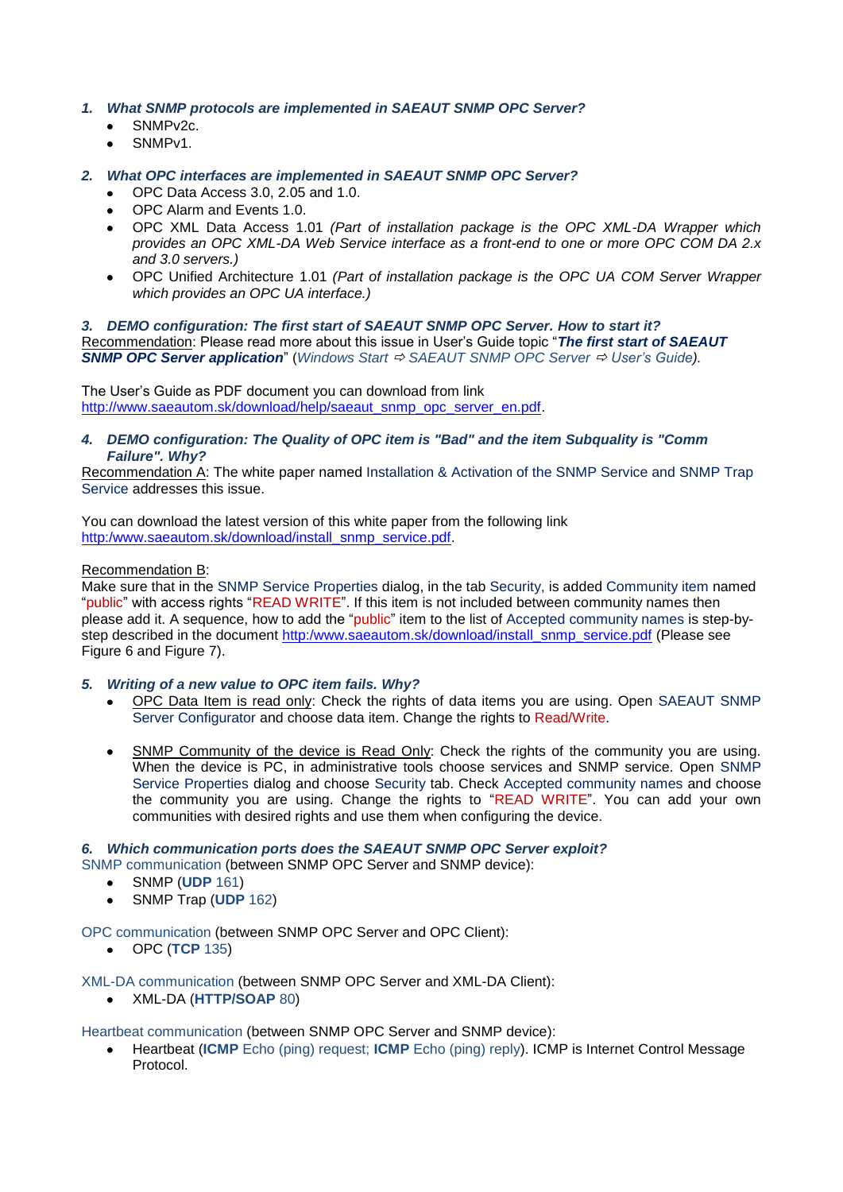- *1. What SNMP protocols are implemented in SAEAUT SNMP OPC Server?*
	- SNMPv2c.
	- SNMPv1.
- *2. What OPC interfaces are implemented in SAEAUT SNMP OPC Server?*
	- OPC Data Access 3.0, 2.05 and 1.0.
	- OPC Alarm and Events 1.0.
	- OPC XML Data Access 1.01 *(Part of installation package is the OPC XML-DA Wrapper which provides an OPC XML-DA Web Service interface as a front-end to one or more OPC COM DA 2.x and 3.0 servers.)*
	- OPC Unified Architecture 1.01 *(Part of installation package is the OPC UA COM Server Wrapper which provides an OPC UA interface.)*

*3. DEMO configuration: The first start of SAEAUT SNMP OPC Server. How to start it?* Recommendation: Please read more about this issue in User's Guide topic "*The first start of SAEAUT SNMP OPC Server application*" (*Windows Start SAEAUT SNMP OPC Server User's Guide).*

The User's Guide as PDF document you can download from link [http://www.saeautom.sk/download/help/saeaut\\_snmp\\_opc\\_server\\_en.pdf.](http://www.saeautom.sk/download/help/saeaut_snmp_opc_server_en.pdf)

*4. DEMO configuration: The Quality of OPC item is "Bad" and the item Subquality is "Comm Failure". Why?*

Recommendation A: The white paper named Installation & Activation of the SNMP Service and SNMP Trap Service addresses this issue.

You can download the latest version of this white paper from the following link [http:/www.saeautom.sk/download/install\\_snmp\\_service.pdf.](http://www.saeautom.sk/download/install_snmp_service.pdf)

### Recommendation B:

Make sure that in the SNMP Service Properties dialog, in the tab Security, is added Community item named "public" with access rights "READ WRITE". If this item is not included between community names then please add it. A sequence, how to add the "public" item to the list of Accepted community names is step-bystep described in the document [http:/www.saeautom.sk/download/install\\_snmp\\_service.pdf](http://www.saeautom.sk/download/install_snmp_service.pdf) (Please see Figure 6 and Figure 7).

#### *5. Writing of a new value to OPC item fails. Why?*

- $\bullet$ OPC Data Item is read only: Check the rights of data items you are using. Open SAEAUT SNMP Server Configurator and choose data item. Change the rights to Read/Write.
- SNMP Community of the device is Read Only: Check the rights of the community you are using.  $\bullet$ When the device is PC, in administrative tools choose services and SNMP service. Open SNMP Service Properties dialog and choose Security tab. Check Accepted community names and choose the community you are using. Change the rights to "READ WRITE". You can add your own communities with desired rights and use them when configuring the device.

#### *6. Which communication ports does the SAEAUT SNMP OPC Server exploit?*

SNMP communication (between SNMP OPC Server and SNMP device):

- SNMP (**UDP** 161)
	- SNMP Trap (**UDP** 162)

#### OPC communication (between SNMP OPC Server and OPC Client):

OPC (**TCP** 135)

XML-DA communication (between SNMP OPC Server and XML-DA Client):

XML-DA (**HTTP/SOAP** 80)

Heartbeat communication (between SNMP OPC Server and SNMP device):

Heartbeat (**ICMP** Echo (ping) request; **ICMP** Echo (ping) reply). ICMP is Internet Control Message Protocol.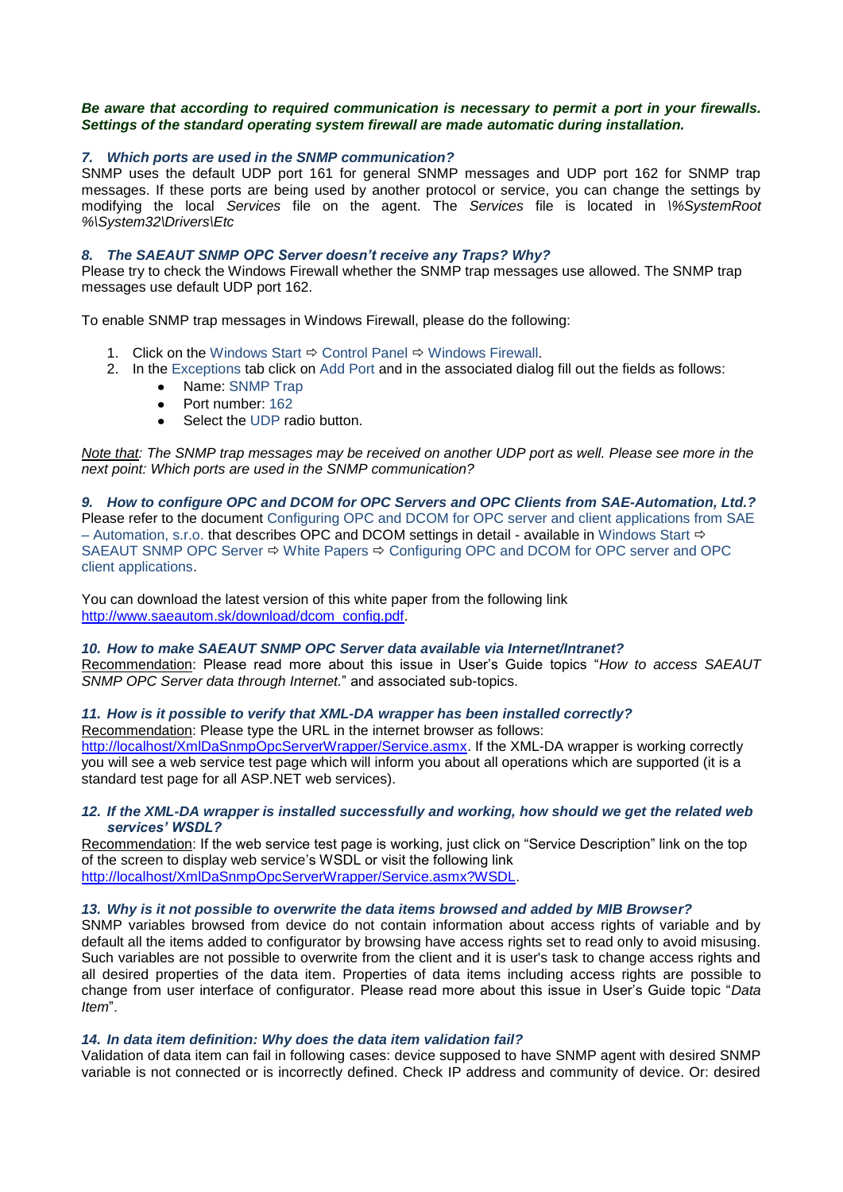#### *Be aware that according to required communication is necessary to permit a port in your firewalls. Settings of the standard operating system firewall are made automatic during installation.*

#### *7. Which ports are used in the SNMP communication?*

SNMP uses the default UDP port 161 for general SNMP messages and UDP port 162 for SNMP trap messages. If these ports are being used by another protocol or service, you can change the settings by modifying the local *Services* file on the agent. The *Services* file is located in *\%SystemRoot %\System32\Drivers\Etc*

#### *8. The SAEAUT SNMP OPC Server doesn't receive any Traps? Why?*

Please try to check the Windows Firewall whether the SNMP trap messages use allowed. The SNMP trap messages use default UDP port 162.

To enable SNMP trap messages in Windows Firewall, please do the following:

- 1. Click on the Windows Start  $\Rightarrow$  Control Panel  $\Rightarrow$  Windows Firewall.
- 2. In the Exceptions tab click on Add Port and in the associated dialog fill out the fields as follows:
	- Name: SNMP Trap
	- Port number: 162
	- Select the UDP radio button.

*Note that: The SNMP trap messages may be received on another UDP port as well. Please see more in the next point: Which ports are used in the SNMP communication?*

#### *9. How to configure OPC and DCOM for OPC Servers and OPC Clients from SAE-Automation, Ltd.?* Please refer to the document Configuring OPC and DCOM for OPC server and client applications from SAE – Automation, s.r.o. that describes OPC and DCOM settings in detail - available in Windows Start  $\Rightarrow$

SAEAUT SNMP OPC Server  $\Rightarrow$  White Papers  $\Rightarrow$  Configuring OPC and DCOM for OPC server and OPC client applications.

You can download the latest version of this white paper from the following link [http://www.saeautom.sk/download/dcom\\_config.pdf.](http://www.saeautom.sk/download/dcom_config.pdf)

### *10. How to make SAEAUT SNMP OPC Server data available via Internet/Intranet?*

Recommendation: Please read more about this issue in User's Guide topics "*How to access SAEAUT SNMP OPC Server data through Internet.*" and associated sub-topics.

#### *11. How is it possible to verify that XML-DA wrapper has been installed correctly?*

Recommendation: Please type the URL in the internet browser as follows:

[http://localhost/XmlDaSnmpOpcServerWrapper/Service.asmx.](http://localhost/XmlDaSnmpOpcServerWrapper/Service.asmx) If the XML-DA wrapper is working correctly you will see a web service test page which will inform you about all operations which are supported (it is a standard test page for all ASP.NET web services).

#### *12. If the XML-DA wrapper is installed successfully and working, how should we get the related web services' WSDL?*

Recommendation: If the web service test page is working, just click on "Service Description" link on the top of the screen to display web service's WSDL or visit the following link [http://localhost/XmlDaSnmpOpcServerWrapper/Service.asmx?WSDL.](http://localhost/XmlDaSnmpOpcServerWrapper/Service.asmx?WSDL)

#### *13. Why is it not possible to overwrite the data items browsed and added by MIB Browser?*

SNMP variables browsed from device do not contain information about access rights of variable and by default all the items added to configurator by browsing have access rights set to read only to avoid misusing. Such variables are not possible to overwrite from the client and it is user's task to change access rights and all desired properties of the data item. Properties of data items including access rights are possible to change from user interface of configurator. Please read more about this issue in User's Guide topic "*Data Item*".

#### *14. In data item definition: Why does the data item validation fail?*

Validation of data item can fail in following cases: device supposed to have SNMP agent with desired SNMP variable is not connected or is incorrectly defined. Check IP address and community of device. Or: desired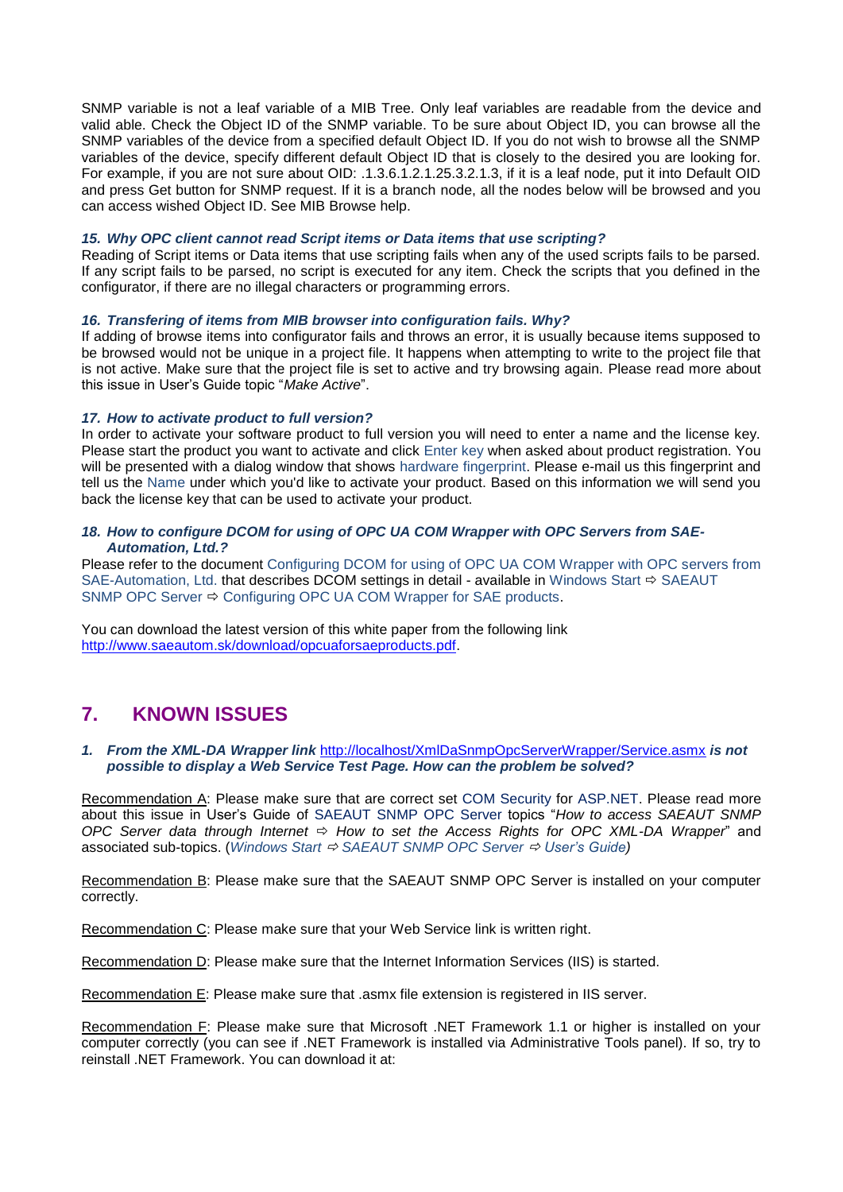SNMP variable is not a leaf variable of a MIB Tree. Only leaf variables are readable from the device and valid able. Check the Object ID of the SNMP variable. To be sure about Object ID, you can browse all the SNMP variables of the device from a specified default Object ID. If you do not wish to browse all the SNMP variables of the device, specify different default Object ID that is closely to the desired you are looking for. For example, if you are not sure about OID: .1.3.6.1.2.1.25.3.2.1.3, if it is a leaf node, put it into Default OID and press Get button for SNMP request. If it is a branch node, all the nodes below will be browsed and you can access wished Object ID. See MIB Browse help.

#### *15. Why OPC client cannot read Script items or Data items that use scripting?*

Reading of Script items or Data items that use scripting fails when any of the used scripts fails to be parsed. If any script fails to be parsed, no script is executed for any item. Check the scripts that you defined in the configurator, if there are no illegal characters or programming errors.

#### *16. Transfering of items from MIB browser into configuration fails. Why?*

If adding of browse items into configurator fails and throws an error, it is usually because items supposed to be browsed would not be unique in a project file. It happens when attempting to write to the project file that is not active. Make sure that the project file is set to active and try browsing again. Please read more about this issue in User's Guide topic "*Make Active*".

#### *17. How to activate product to full version?*

In order to activate your software product to full version you will need to enter a name and the license key. Please start the product you want to activate and click Enter key when asked about product registration. You will be presented with a dialog window that shows hardware fingerprint. Please e-mail us this fingerprint and tell us the Name under which you'd like to activate your product. Based on this information we will send you back the license key that can be used to activate your product.

#### *18. How to configure DCOM for using of OPC UA COM Wrapper with OPC Servers from SAE-Automation, Ltd.?*

Please refer to the document Configuring DCOM for using of OPC UA COM Wrapper with OPC servers from SAE-Automation, Ltd. that describes DCOM settings in detail - available in Windows Start  $\Rightarrow$  SAEAUT SNMP OPC Server  $\Leftrightarrow$  Configuring OPC UA COM Wrapper for SAE products.

You can download the latest version of this white paper from the following link [http://www.saeautom.sk/download/opcuaforsaeproducts.pdf.](http://www.saeautom.sk/download/opcuaforsaeproducts.pdf)

## <span id="page-12-0"></span>**7. KNOWN ISSUES**

*1. From the XML-DA Wrapper link* <http://localhost/XmlDaSnmpOpcServerWrapper/Service.asmx> *is not possible to display a Web Service Test Page. How can the problem be solved?*

Recommendation A: Please make sure that are correct set COM Security for ASP.NET. Please read more about this issue in User's Guide of SAEAUT SNMP OPC Server topics "*How to access SAEAUT SNMP OPC Server data through Internet How to set the Access Rights for OPC XML-DA Wrapper*" and associated sub-topics. (*Windows Start SAEAUT SNMP OPC Server User's Guide)*

Recommendation B: Please make sure that the SAEAUT SNMP OPC Server is installed on your computer correctly.

Recommendation C: Please make sure that your Web Service link is written right.

Recommendation D: Please make sure that the Internet Information Services (IIS) is started.

Recommendation E: Please make sure that .asmx file extension is registered in IIS server.

Recommendation F: Please make sure that Microsoft .NET Framework 1.1 or higher is installed on your computer correctly (you can see if .NET Framework is installed via Administrative Tools panel). If so, try to reinstall .NET Framework. You can download it at: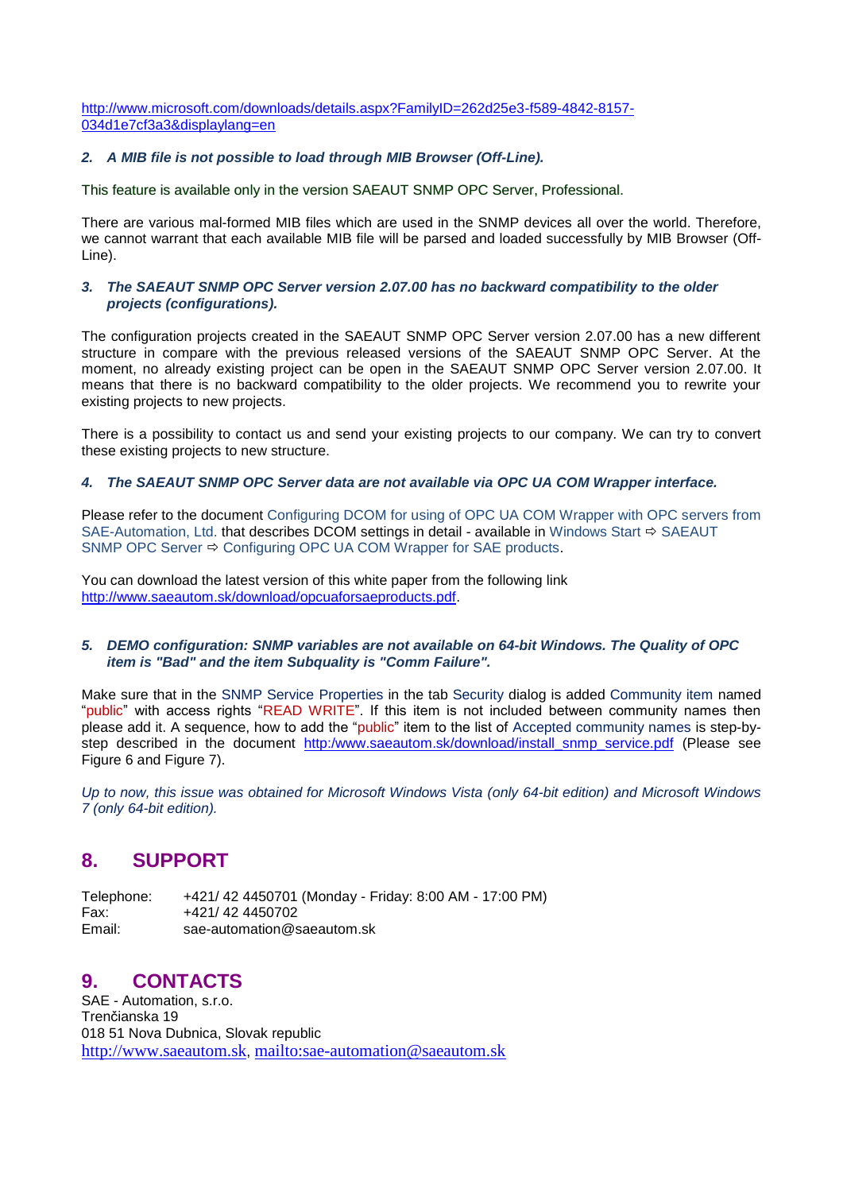[http://www.microsoft.com/downloads/details.aspx?FamilyID=262d25e3-f589-4842-8157-](http://www.microsoft.com/downloads/details.aspx?FamilyID=262d25e3-f589-4842-8157-034d1e7cf3a3&displaylang=en) [034d1e7cf3a3&displaylang=en](http://www.microsoft.com/downloads/details.aspx?FamilyID=262d25e3-f589-4842-8157-034d1e7cf3a3&displaylang=en)

#### *2. A MIB file is not possible to load through MIB Browser (Off-Line).*

This feature is available only in the version SAEAUT SNMP OPC Server, Professional.

There are various mal-formed MIB files which are used in the SNMP devices all over the world. Therefore, we cannot warrant that each available MIB file will be parsed and loaded successfully by MIB Browser (Off-Line).

### *3. The SAEAUT SNMP OPC Server version 2.07.00 has no backward compatibility to the older projects (configurations).*

The configuration projects created in the SAEAUT SNMP OPC Server version 2.07.00 has a new different structure in compare with the previous released versions of the SAEAUT SNMP OPC Server. At the moment, no already existing project can be open in the SAEAUT SNMP OPC Server version 2.07.00. It means that there is no backward compatibility to the older projects. We recommend you to rewrite your existing projects to new projects.

There is a possibility to contact us and send your existing projects to our company. We can try to convert these existing projects to new structure.

#### *4. The SAEAUT SNMP OPC Server data are not available via OPC UA COM Wrapper interface.*

Please refer to the document Configuring DCOM for using of OPC UA COM Wrapper with OPC servers from SAE-Automation, Ltd. that describes DCOM settings in detail - available in Windows Start  $\Rightarrow$  SAEAUT SNMP OPC Server  $\Rightarrow$  Configuring OPC UA COM Wrapper for SAE products.

You can download the latest version of this white paper from the following link [http://www.saeautom.sk/download/opcuaforsaeproducts.pdf.](http://www.saeautom.sk/download/opcuaforsaeproducts.pdf)

#### *5. DEMO configuration: SNMP variables are not available on 64-bit Windows. The Quality of OPC item is "Bad" and the item Subquality is "Comm Failure".*

Make sure that in the SNMP Service Properties in the tab Security dialog is added Community item named "public" with access rights "READ WRITE". If this item is not included between community names then please add it. A sequence, how to add the "public" item to the list of Accepted community names is step-bystep described in the document [http:/www.saeautom.sk/download/install\\_snmp\\_service.pdf](http://www.saeautom.sk/download/install_snmp_service.pdf) (Please see Figure 6 and Figure 7).

*Up to now, this issue was obtained for Microsoft Windows Vista (only 64-bit edition) and Microsoft Windows 7 (only 64-bit edition).*

## <span id="page-13-0"></span>**8. SUPPORT**

Telephone: +421/ 42 4450701 (Monday - Friday: 8:00 AM - 17:00 PM) Fax: +421/ 42 4450702<br>Email: sae-automation@s sae-automation@saeautom.sk

## <span id="page-13-1"></span>**9. CONTACTS**

SAE - Automation, s.r.o. Trenčianska 19 018 51 Nova Dubnica, Slovak republic [http://www.saeautom.sk](http://www.saeautom.sk/), <mailto:sae-automation@saeautom.sk>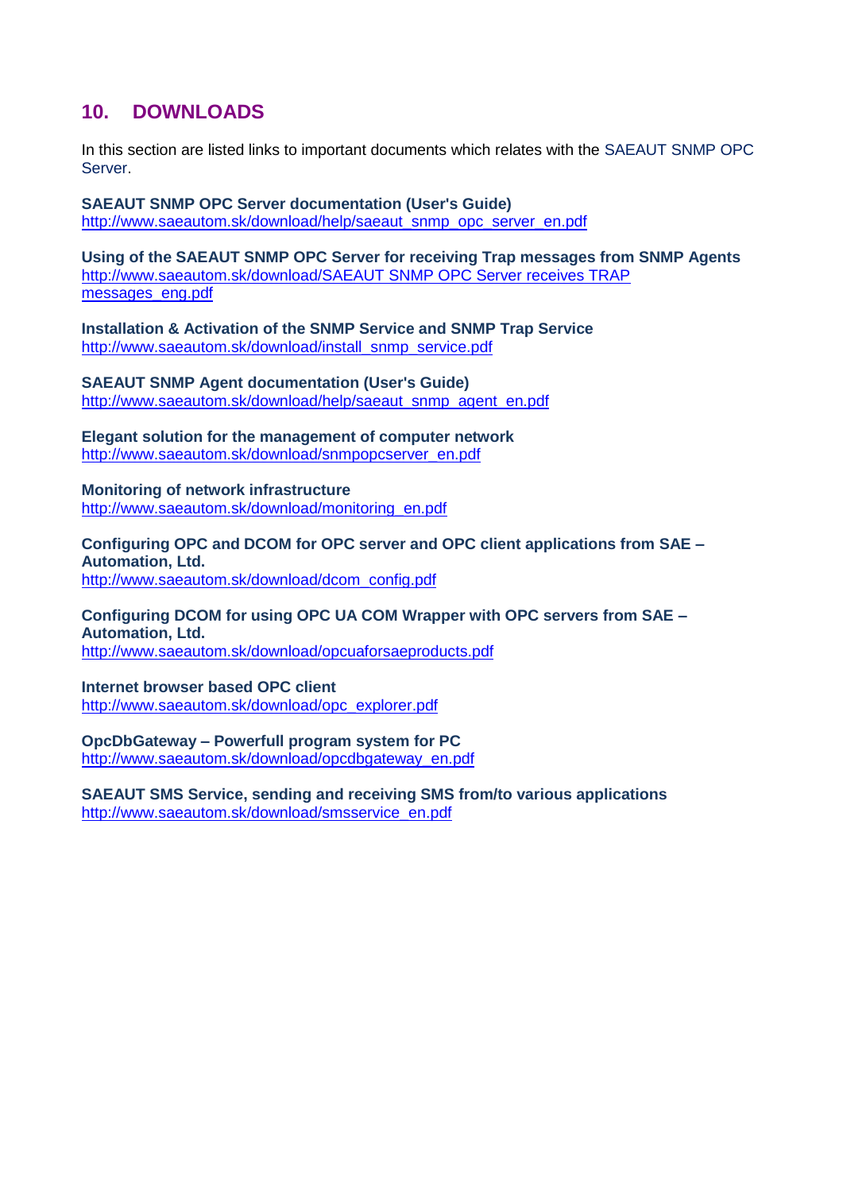# <span id="page-14-0"></span>**10. DOWNLOADS**

In this section are listed links to important documents which relates with the SAEAUT SNMP OPC Server.

## **SAEAUT SNMP OPC Server documentation (User's Guide)**

[http://www.saeautom.sk/download/help/saeaut\\_snmp\\_opc\\_server\\_en.pdf](http://www.saeautom.sk/download/help/saeaut_snmp_opc_server_en.pdf)

## **Using of the SAEAUT SNMP OPC Server for receiving Trap messages from SNMP Agents** [http://www.saeautom.sk/download/SAEAUT SNMP OPC Server receives TRAP](http://www.saeautom.sk/download/SAEAUT%20SNMP%20OPC%20Server%20receives%20TRAP%20messages_eng.pdf)  [messages\\_eng.pdf](http://www.saeautom.sk/download/SAEAUT%20SNMP%20OPC%20Server%20receives%20TRAP%20messages_eng.pdf)

**Installation & Activation of the SNMP Service and SNMP Trap Service** [http://www.saeautom.sk/download/install\\_snmp\\_service.pdf](http://www.saeautom.sk/download/install_snmp_service.pdf)

**SAEAUT SNMP Agent documentation (User's Guide)** [http://www.saeautom.sk/download/help/saeaut\\_snmp\\_agent\\_en.pdf](http://www.saeautom.sk/download/help/saeaut_snmp_agent_en.pdf)

**Elegant solution for the management of computer network** [http://www.saeautom.sk/download/snmpopcserver\\_en.pdf](http://www.saeautom.sk/download/snmpopcserver_en.pdf)

# **Monitoring of network infrastructure**

[http://www.saeautom.sk/download/monitoring\\_en.pdf](http://www.saeautom.sk/download/monitoring_en.pdf)

**Configuring OPC and DCOM for OPC server and OPC client applications from SAE – Automation, Ltd.** [http://www.saeautom.sk/download/dcom\\_config.pdf](http://www.saeautom.sk/download/dcom_config.pdf)

**Configuring DCOM for using OPC UA COM Wrapper with OPC servers from SAE – Automation, Ltd.** <http://www.saeautom.sk/download/opcuaforsaeproducts.pdf>

**Internet browser based OPC client**

[http://www.saeautom.sk/download/opc\\_explorer.pdf](http://www.saeautom.sk/download/opc_explorer.pdf)

# **OpcDbGateway – Powerfull program system for PC**

[http://www.saeautom.sk/download/opcdbgateway\\_en.pdf](http://www.saeautom.sk/download/opcdbgateway_en.pdf)

**SAEAUT SMS Service, sending and receiving SMS from/to various applications** [http://www.saeautom.sk/download/smsservice\\_en.pdf](http://www.saeautom.sk/download/smsservice_en.pdf)